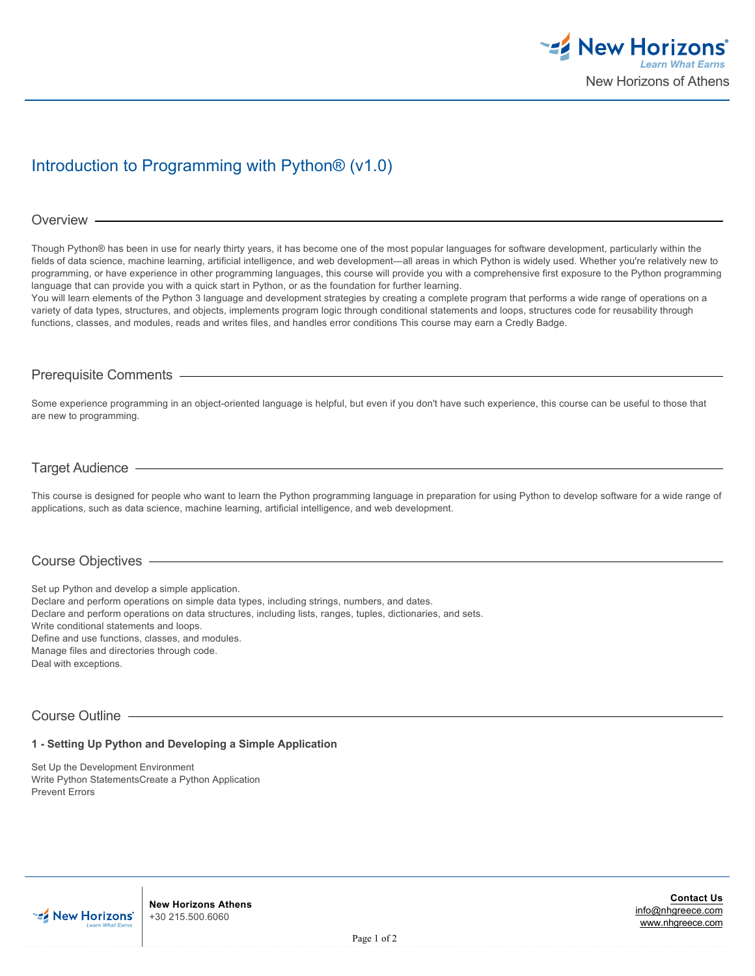

# Introduction to Programming with Python® (v1.0)

#### Overview –

Though Python® has been in use for nearly thirty years, it has become one of the most popular languages for software development, particularly within the fields of data science, machine learning, artificial intelligence, and web development—all areas in which Python is widely used. Whether you're relatively new to programming, or have experience in other programming languages, this course will provide you with a comprehensive first exposure to the Python programming language that can provide you with a quick start in Python, or as the foundation for further learning.

You will learn elements of the Python 3 language and development strategies by creating a complete program that performs a wide range of operations on a variety of data types, structures, and objects, implements program logic through conditional statements and loops, structures code for reusability through functions, classes, and modules, reads and writes files, and handles error conditions This course may earn a Credly Badge.

# Prerequisite Comments

Some experience programming in an object-oriented language is helpful, but even if you don't have such experience, this course can be useful to those that are new to programming.

#### Target Audience

This course is designed for people who want to learn the Python programming language in preparation for using Python to develop software for a wide range of applications, such as data science, machine learning, artificial intelligence, and web development.

## Course Objectives

Set up Python and develop a simple application. Declare and perform operations on simple data types, including strings, numbers, and dates. Declare and perform operations on data structures, including lists, ranges, tuples, dictionaries, and sets. Write conditional statements and loops. Define and use functions, classes, and modules. Manage files and directories through code. Deal with exceptions.

#### Course Outline

#### **1 - Setting Up Python and Developing a Simple Application**

Set Up the Development Environment Write Python StatementsCreate a Python Application Prevent Errors



**New Horizons Athens** +30 215.500.6060